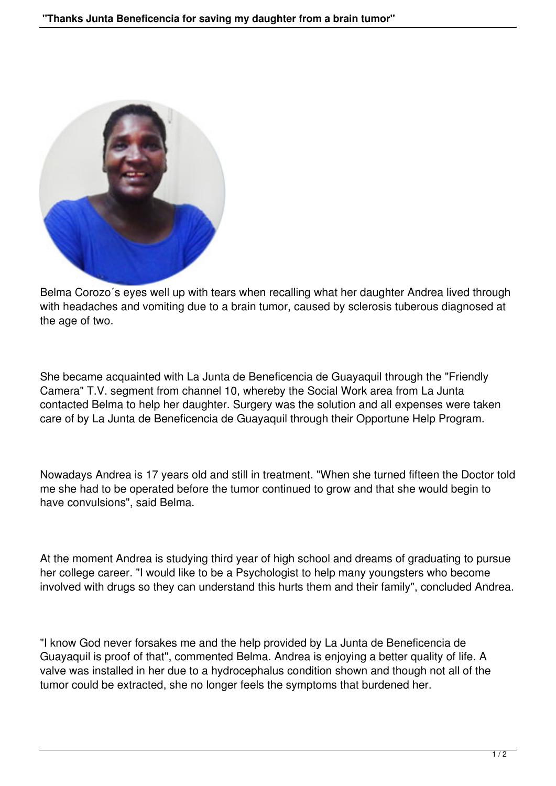

Belma Corozo´s eyes well up with tears when recalling what her daughter Andrea lived through with headaches and vomiting due to a brain tumor, caused by sclerosis tuberous diagnosed at the age of two.

She became acquainted with La Junta de Beneficencia de Guayaquil through the "Friendly Camera" T.V. segment from channel 10, whereby the Social Work area from La Junta contacted Belma to help her daughter. Surgery was the solution and all expenses were taken care of by La Junta de Beneficencia de Guayaquil through their Opportune Help Program.

Nowadays Andrea is 17 years old and still in treatment. "When she turned fifteen the Doctor told me she had to be operated before the tumor continued to grow and that she would begin to have convulsions", said Belma.

At the moment Andrea is studying third year of high school and dreams of graduating to pursue her college career. "I would like to be a Psychologist to help many youngsters who become involved with drugs so they can understand this hurts them and their family", concluded Andrea.

"I know God never forsakes me and the help provided by La Junta de Beneficencia de Guayaquil is proof of that", commented Belma. Andrea is enjoying a better quality of life. A valve was installed in her due to a hydrocephalus condition shown and though not all of the tumor could be extracted, she no longer feels the symptoms that burdened her.